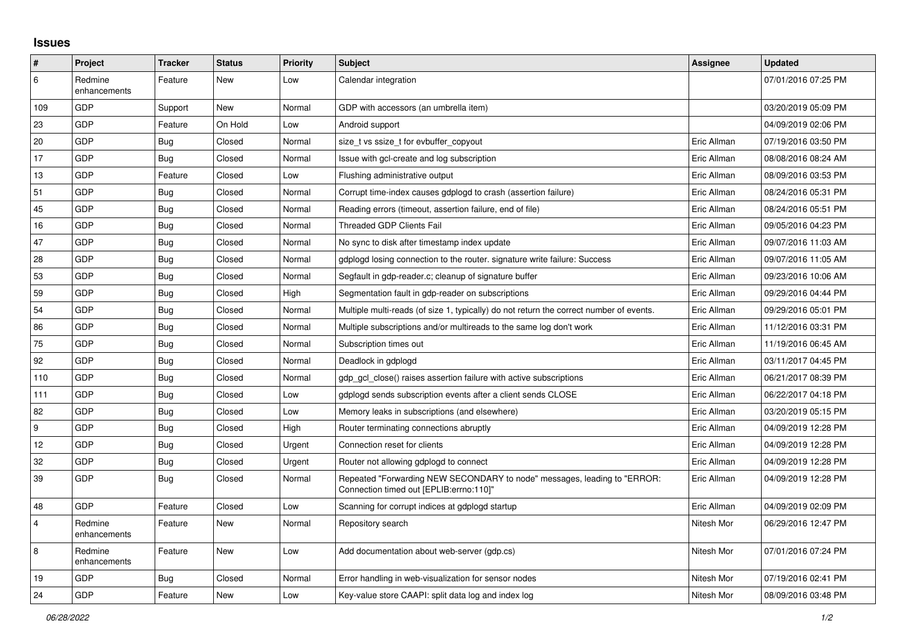## **Issues**

| $\vert$ #      | Project                 | <b>Tracker</b> | <b>Status</b> | <b>Priority</b> | <b>Subject</b>                                                                                                      | <b>Assignee</b> | <b>Updated</b>      |
|----------------|-------------------------|----------------|---------------|-----------------|---------------------------------------------------------------------------------------------------------------------|-----------------|---------------------|
| 6              | Redmine<br>enhancements | Feature        | New           | Low             | Calendar integration                                                                                                |                 | 07/01/2016 07:25 PM |
| 109            | GDP                     | Support        | New           | Normal          | GDP with accessors (an umbrella item)                                                                               |                 | 03/20/2019 05:09 PM |
| 23             | GDP                     | Feature        | On Hold       | Low             | Android support                                                                                                     |                 | 04/09/2019 02:06 PM |
| 20             | GDP                     | Bug            | Closed        | Normal          | size t vs ssize t for evbuffer copyout                                                                              | Eric Allman     | 07/19/2016 03:50 PM |
| 17             | <b>GDP</b>              | Bug            | Closed        | Normal          | Issue with gcl-create and log subscription                                                                          | Eric Allman     | 08/08/2016 08:24 AM |
| 13             | GDP                     | Feature        | Closed        | Low             | Flushing administrative output                                                                                      | Eric Allman     | 08/09/2016 03:53 PM |
| 51             | GDP                     | Bug            | Closed        | Normal          | Corrupt time-index causes gdplogd to crash (assertion failure)                                                      | Eric Allman     | 08/24/2016 05:31 PM |
| 45             | GDP                     | Bug            | Closed        | Normal          | Reading errors (timeout, assertion failure, end of file)                                                            | Eric Allman     | 08/24/2016 05:51 PM |
| 16             | GDP                     | <b>Bug</b>     | Closed        | Normal          | <b>Threaded GDP Clients Fail</b>                                                                                    | Eric Allman     | 09/05/2016 04:23 PM |
| 47             | GDP                     | Bug            | Closed        | Normal          | No sync to disk after timestamp index update                                                                        | Eric Allman     | 09/07/2016 11:03 AM |
| 28             | GDP                     | <b>Bug</b>     | Closed        | Normal          | gdplogd losing connection to the router. signature write failure: Success                                           | Eric Allman     | 09/07/2016 11:05 AM |
| 53             | GDP                     | <b>Bug</b>     | Closed        | Normal          | Segfault in gdp-reader.c; cleanup of signature buffer                                                               | Eric Allman     | 09/23/2016 10:06 AM |
| 59             | GDP                     | <b>Bug</b>     | Closed        | High            | Segmentation fault in gdp-reader on subscriptions                                                                   | Eric Allman     | 09/29/2016 04:44 PM |
| 54             | GDP                     | <b>Bug</b>     | Closed        | Normal          | Multiple multi-reads (of size 1, typically) do not return the correct number of events.                             | Eric Allman     | 09/29/2016 05:01 PM |
| 86             | GDP                     | Bug            | Closed        | Normal          | Multiple subscriptions and/or multireads to the same log don't work                                                 | Eric Allman     | 11/12/2016 03:31 PM |
| 75             | GDP                     | Bug            | Closed        | Normal          | Subscription times out                                                                                              | Eric Allman     | 11/19/2016 06:45 AM |
| 92             | GDP                     | <b>Bug</b>     | Closed        | Normal          | Deadlock in gdplogd                                                                                                 | Eric Allman     | 03/11/2017 04:45 PM |
| 110            | <b>GDP</b>              | Bug            | Closed        | Normal          | gdp gcl close() raises assertion failure with active subscriptions                                                  | Eric Allman     | 06/21/2017 08:39 PM |
| 111            | GDP                     | Bug            | Closed        | Low             | gdplogd sends subscription events after a client sends CLOSE                                                        | Eric Allman     | 06/22/2017 04:18 PM |
| 82             | GDP                     | <b>Bug</b>     | Closed        | Low             | Memory leaks in subscriptions (and elsewhere)                                                                       | Eric Allman     | 03/20/2019 05:15 PM |
| 9              | GDP                     | Bug            | Closed        | High            | Router terminating connections abruptly                                                                             | Eric Allman     | 04/09/2019 12:28 PM |
| 12             | GDP                     | <b>Bug</b>     | Closed        | Urgent          | Connection reset for clients                                                                                        | Eric Allman     | 04/09/2019 12:28 PM |
| 32             | GDP                     | Bug            | Closed        | Urgent          | Router not allowing gdplogd to connect                                                                              | Eric Allman     | 04/09/2019 12:28 PM |
| 39             | GDP                     | <b>Bug</b>     | Closed        | Normal          | Repeated "Forwarding NEW SECONDARY to node" messages, leading to "ERROR:<br>Connection timed out [EPLIB:errno:110]" | Eric Allman     | 04/09/2019 12:28 PM |
| 48             | GDP                     | Feature        | Closed        | Low             | Scanning for corrupt indices at gdplogd startup                                                                     | Eric Allman     | 04/09/2019 02:09 PM |
| $\overline{4}$ | Redmine<br>enhancements | Feature        | New           | Normal          | Repository search                                                                                                   | Nitesh Mor      | 06/29/2016 12:47 PM |
| $\overline{8}$ | Redmine<br>enhancements | Feature        | New           | Low             | Add documentation about web-server (gdp.cs)                                                                         | Nitesh Mor      | 07/01/2016 07:24 PM |
| 19             | GDP                     | <b>Bug</b>     | Closed        | Normal          | Error handling in web-visualization for sensor nodes                                                                | Nitesh Mor      | 07/19/2016 02:41 PM |
| 24             | GDP                     | Feature        | <b>New</b>    | Low             | Key-value store CAAPI: split data log and index log                                                                 | Nitesh Mor      | 08/09/2016 03:48 PM |